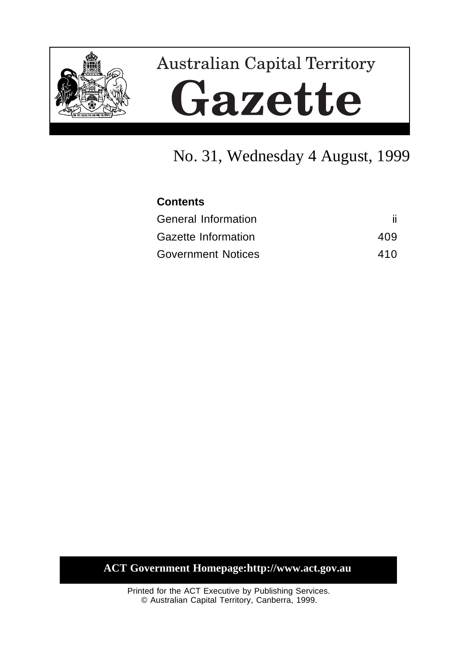

# Australian Capital Territory Gazette

## No. 31, Wednesday 4 August, 1999

| <b>Contents</b>           |     |
|---------------------------|-----|
| General Information       |     |
| Gazette Information       | 409 |
| <b>Government Notices</b> | 410 |

**ACT Government Homepage:http://www.act.gov.au**

Printed for the ACT Executive by Publishing Services. © Australian Capital Territory, Canberra, 1999.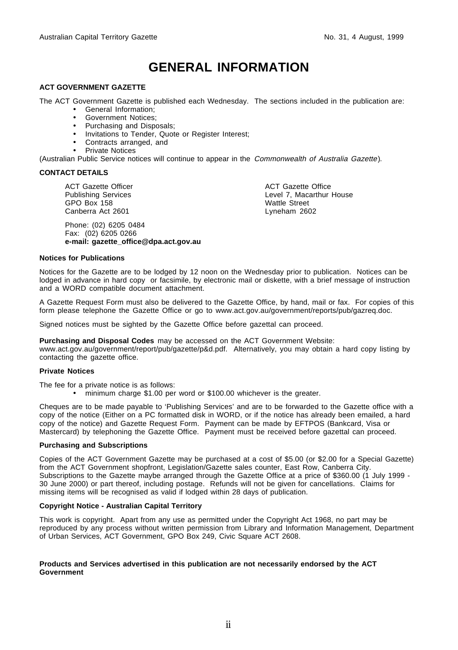## **GENERAL INFORMATION**

#### **ACT GOVERNMENT GAZETTE**

The ACT Government Gazette is published each Wednesday. The sections included in the publication are:

- General Information;
- Government Notices;
- Purchasing and Disposals;
- Invitations to Tender, Quote or Register Interest;
- Contracts arranged, and
- Private Notices

(Australian Public Service notices will continue to appear in the Commonwealth of Australia Gazette).

#### **CONTACT DETAILS**

ACT Gazette Officer Publishing Services GPO Box 158 Canberra Act 2601

Phone: (02) 6205 0484 Fax: (02) 6205 0266 **e-mail: gazette\_office@dpa.act.gov.au** ACT Gazette Office Level 7, Macarthur House Wattle Street Lyneham 2602

#### **Notices for Publications**

Notices for the Gazette are to be lodged by 12 noon on the Wednesday prior to publication. Notices can be lodged in advance in hard copy or facsimile, by electronic mail or diskette, with a brief message of instruction and a WORD compatible document attachment.

A Gazette Request Form must also be delivered to the Gazette Office, by hand, mail or fax. For copies of this form please telephone the Gazette Office or go to www.act.gov.au/government/reports/pub/gazreq.doc.

Signed notices must be sighted by the Gazette Office before gazettal can proceed.

**Purchasing and Disposal Codes** may be accessed on the ACT Government Website:

www.act.gov.au/government/report/pub/gazette/p&d.pdf. Alternatively, you may obtain a hard copy listing by contacting the gazette office.

#### **Private Notices**

The fee for a private notice is as follows:

• minimum charge \$1.00 per word or \$100.00 whichever is the greater.

Cheques are to be made payable to 'Publishing Services' and are to be forwarded to the Gazette office with a copy of the notice (Either on a PC formatted disk in WORD, or if the notice has already been emailed, a hard copy of the notice) and Gazette Request Form. Payment can be made by EFTPOS (Bankcard, Visa or Mastercard) by telephoning the Gazette Office. Payment must be received before gazettal can proceed.

#### **Purchasing and Subscriptions**

Copies of the ACT Government Gazette may be purchased at a cost of \$5.00 (or \$2.00 for a Special Gazette) from the ACT Government shopfront, Legislation/Gazette sales counter, East Row, Canberra City. Subscriptions to the Gazette maybe arranged through the Gazette Office at a price of \$360.00 (1 July 1999 - 30 June 2000) or part thereof, including postage. Refunds will not be given for cancellations. Claims for missing items will be recognised as valid if lodged within 28 days of publication.

#### **Copyright Notice - Australian Capital Territory**

This work is copyright. Apart from any use as permitted under the Copyright Act 1968, no part may be reproduced by any process without written permission from Library and Information Management, Department of Urban Services, ACT Government, GPO Box 249, Civic Square ACT 2608.

#### **Products and Services advertised in this publication are not necessarily endorsed by the ACT Government**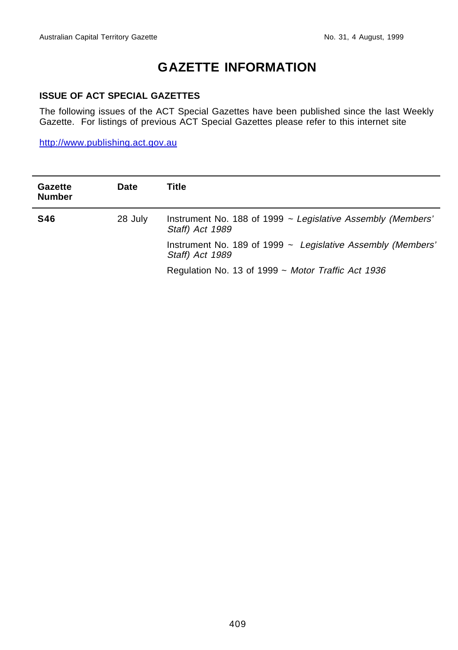## **GAZETTE INFORMATION**

#### **ISSUE OF ACT SPECIAL GAZETTES**

The following issues of the ACT Special Gazettes have been published since the last Weekly Gazette. For listings of previous ACT Special Gazettes please refer to this internet site

http://www.publishing.act.gov.au

| Gazette<br><b>Number</b> | <b>Date</b> | Title                                                                               |
|--------------------------|-------------|-------------------------------------------------------------------------------------|
| <b>S46</b>               | 28 July     | Instrument No. 188 of 1999 $\sim$ Legislative Assembly (Members'<br>Staff) Act 1989 |
|                          |             | Instrument No. 189 of 1999 $\sim$ Legislative Assembly (Members'<br>Staff) Act 1989 |
|                          |             | Regulation No. 13 of 1999 $\sim$ Motor Traffic Act 1936                             |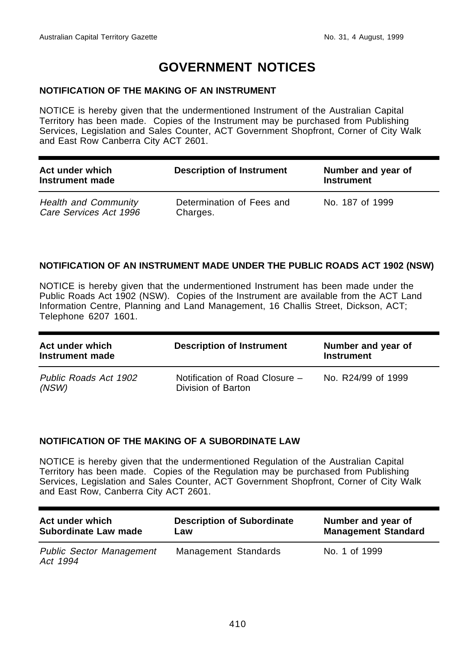## **GOVERNMENT NOTICES**

#### **NOTIFICATION OF THE MAKING OF AN INSTRUMENT**

NOTICE is hereby given that the undermentioned Instrument of the Australian Capital Territory has been made. Copies of the Instrument may be purchased from Publishing Services, Legislation and Sales Counter, ACT Government Shopfront, Corner of City Walk and East Row Canberra City ACT 2601.

| Act under which<br>Instrument made                    | <b>Description of Instrument</b>      | Number and year of<br><b>Instrument</b> |
|-------------------------------------------------------|---------------------------------------|-----------------------------------------|
| <b>Health and Community</b><br>Care Services Act 1996 | Determination of Fees and<br>Charges. | No. 187 of 1999                         |

#### **NOTIFICATION OF AN INSTRUMENT MADE UNDER THE PUBLIC ROADS ACT 1902 (NSW)**

NOTICE is hereby given that the undermentioned Instrument has been made under the Public Roads Act 1902 (NSW). Copies of the Instrument are available from the ACT Land Information Centre, Planning and Land Management, 16 Challis Street, Dickson, ACT; Telephone 6207 1601.

| Act under which<br>Instrument made | <b>Description of Instrument</b>                     | Number and year of<br><b>Instrument</b> |
|------------------------------------|------------------------------------------------------|-----------------------------------------|
| Public Roads Act 1902<br>(NSW)     | Notification of Road Closure -<br>Division of Barton | No. R24/99 of 1999                      |

#### **NOTIFICATION OF THE MAKING OF A SUBORDINATE LAW**

NOTICE is hereby given that the undermentioned Regulation of the Australian Capital Territory has been made. Copies of the Regulation may be purchased from Publishing Services, Legislation and Sales Counter, ACT Government Shopfront, Corner of City Walk and East Row, Canberra City ACT 2601.

| Act under which                             | <b>Description of Subordinate</b> | Number and year of         |
|---------------------------------------------|-----------------------------------|----------------------------|
| Subordinate Law made                        | Law                               | <b>Management Standard</b> |
| <b>Public Sector Management</b><br>Act 1994 | Management Standards              | No. 1 of 1999              |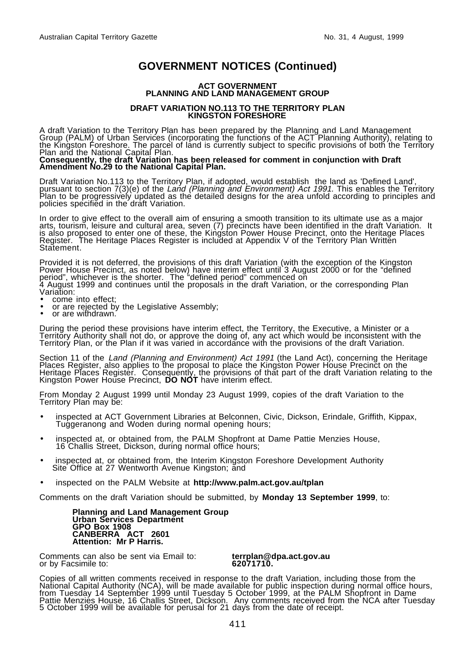#### **ACT GOVERNMENT PLANNING AND LAND MANAGEMENT GROUP**

#### **DRAFT VARIATION NO.113 TO THE TERRITORY PLAN KINGSTON FORESHORE**

A draft Variation to the Territory Plan has been prepared by the Planning and Land Management<br>Group (PALM) of Urban Services (incorporating the functions of the ACT Planning Authority), relating to the Kingston Foreshore. The parcel of land is currently subject to specific provisions of both the Territory Plan and the National Capital Plan. **Consequently, the draft Variation has been released for comment in conjunction with Draft**

## **Amendment No.29 to the National Capital Plan.**

Draft Variation No.113 to the Territory Plan, if adopted, would establish the land as 'Defined Land',<br>pursuant to section 7(3)(e) of the *Land (Planning and Environment) Act 1991*. This enables the Territory<br>Plan to be pro policies specified in the draft Variation.

In order to give effect to the overall aim of ensuring a smooth transition to its ultimate use as a major arts, tourism, leisure and cultural area, seven (7) precincts have been identified in the draft Variation. It is also proposed to enter one of these, the Kingston Power House Precinct, onto the Heritage Places Register. The Heritage Places Register is included at Appendix V of the Territory Plan Written Statement.

Provided it is not deferred, the provisions of this draft Variation (with the exception of the Kingston Power House Precinct, as noted below) have interim effect until 3 August 2000 or for the "defined period", whichever is the shorter. The "defined period" commenced on 4 August 1999 and continues until the proposals in the draft Variation, or the corresponding Plan

- Variation:<br>• come into effect;
- or are rejected by the Legislative Assembly; or are withdrawn.
- 

During the period these provisions have interim effect, the Territory, the Executive, a Minister or a Territory Authority shall not do, or approve the doing of, any act which would be inconsistent with the Territory Plan, or the Plan if it was varied in accordance with the provisions of the draft Variation.

Section 11 of the Land (Planning and Environment) Act 1991 (the Land Act), concerning the Heritage<br>Places Register, also applies to the proposal to place the Kingston Power House Precinct on the Heritage Places Register. Consequently, the provisions of that part of the draft Variation relating to the Kingston Power House Precinct, **DO NOT** have interim effect.

From Monday 2 August 1999 until Monday 23 August 1999, copies of the draft Variation to the Territory Plan may be:

- inspected at ACT Government Libraries at Belconnen, Civic, Dickson, Erindale, Griffith, Kippax, Tuggeranong and Woden during normal opening hours;
- inspected at, or obtained from, the PALM Shopfront at Dame Pattie Menzies House, 16 Challis Street, Dickson, during normal office hours;
- inspected at, or obtained from, the Interim Kingston Foreshore Development Authority Site Office at 27 Wentworth Avenue Kingston; and
- inspected on the PALM Website at **http://www.palm.act.gov.au/tplan**

Comments on the draft Variation should be submitted, by **Monday 13 September 1999**, to:

**Planning and Land Management Group Urban Services Department GPO Box 1908 CANBERRA ACT 2601 Attention: Mr P Harris.**

Comments can also be sent via Email to: **terrplan@dpa.act.gov.au** or by Facsimile to: **62071710.**

Copies of all written comments received in response to the draft Variation, including those from the National Capital Authority (NCA), will be made available for public inspection during normal office hours, from Tuesday 14 September 1999 until Tuesday 5 October 1999, at the PALM Shopfront in Dame Pattie Menzies House, 16 Challis Street, Dickson. Any comments received from the NCA after Tuesday 5 October 1999 will be available for perusal for 21 days from the date of receipt.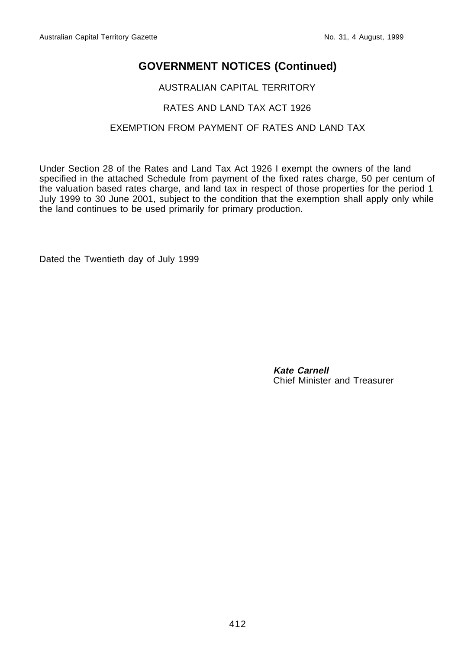#### AUSTRALIAN CAPITAL TERRITORY

#### RATES AND LAND TAX ACT 1926

#### EXEMPTION FROM PAYMENT OF RATES AND LAND TAX

Under Section 28 of the Rates and Land Tax Act 1926 I exempt the owners of the land specified in the attached Schedule from payment of the fixed rates charge, 50 per centum of the valuation based rates charge, and land tax in respect of those properties for the period 1 July 1999 to 30 June 2001, subject to the condition that the exemption shall apply only while the land continues to be used primarily for primary production.

Dated the Twentieth day of July 1999

**Kate Carnell** Chief Minister and Treasurer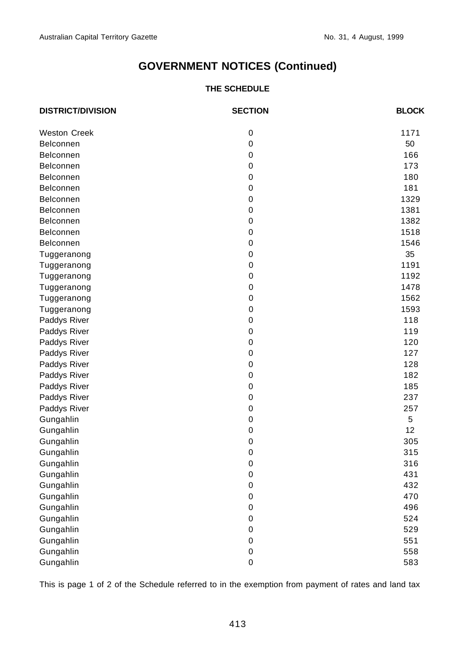#### **THE SCHEDULE**

| <b>DISTRICT/DIVISION</b> | <b>SECTION</b> | <b>BLOCK</b> |
|--------------------------|----------------|--------------|
| <b>Weston Creek</b>      | 0              | 1171         |
| <b>Belconnen</b>         | 0              | 50           |
| <b>Belconnen</b>         | $\mathbf 0$    | 166          |
| <b>Belconnen</b>         | 0              | 173          |
| <b>Belconnen</b>         | $\mathbf 0$    | 180          |
| <b>Belconnen</b>         | $\mathbf 0$    | 181          |
| <b>Belconnen</b>         | 0              | 1329         |
| <b>Belconnen</b>         | $\mathbf 0$    | 1381         |
| Belconnen                | $\mathbf 0$    | 1382         |
| <b>Belconnen</b>         | $\mathbf 0$    | 1518         |
| Belconnen                | 0              | 1546         |
| Tuggeranong              | 0              | 35           |
| Tuggeranong              | $\mathbf 0$    | 1191         |
| Tuggeranong              | 0              | 1192         |
| Tuggeranong              | $\mathbf 0$    | 1478         |
| Tuggeranong              | $\mathbf 0$    | 1562         |
| Tuggeranong              | 0              | 1593         |
| Paddys River             | $\mathbf 0$    | 118          |
| Paddys River             | 0              | 119          |
| Paddys River             | $\mathbf 0$    | 120          |
| Paddys River             | 0              | 127          |
| Paddys River             | $\mathbf 0$    | 128          |
| Paddys River             | 0              | 182          |
| Paddys River             | $\mathbf 0$    | 185          |
| Paddys River             | 0              | 237          |
| Paddys River             | $\mathbf 0$    | 257          |
| Gungahlin                | 0              | 5            |
| Gungahlin                | $\mathbf 0$    | 12           |
| Gungahlin                | 0              | 305          |
| Gungahlin                | $\mathbf 0$    | 315          |
| Gungahlin                | 0              | 316          |
| Gungahlin                | $\mathbf 0$    | 431          |
| Gungahlin                | 0              | 432          |
| Gungahlin                | 0              | 470          |
| Gungahlin                | 0              | 496          |
| Gungahlin                | $\mathbf 0$    | 524          |
| Gungahlin                | 0              | 529          |
| Gungahlin                | $\mathbf 0$    | 551          |
| Gungahlin                | 0              | 558          |
| Gungahlin                | 0              | 583          |

This is page 1 of 2 of the Schedule referred to in the exemption from payment of rates and land tax